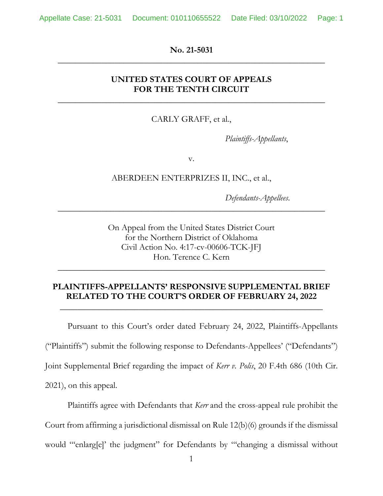Appellate Case: 21-5031 Document: 010110655522 Date Filed: 03/10/2022 Page: 1

**\_\_\_\_\_\_\_\_\_\_\_\_\_\_\_\_\_\_\_\_\_\_\_\_\_\_\_\_\_\_\_\_\_\_\_\_\_\_\_\_\_\_\_\_\_\_\_\_\_\_\_\_\_\_\_\_\_\_\_\_\_ No. 21-5031** 

## **UNITED STATES COURT OF APPEALS FOR THE TENTH CIRCUIT**

**\_\_\_\_\_\_\_\_\_\_\_\_\_\_\_\_\_\_\_\_\_\_\_\_\_\_\_\_\_\_\_\_\_\_\_\_\_\_\_\_\_\_\_\_\_\_\_\_\_\_\_\_\_\_\_\_\_\_\_\_\_** 

CARLY GRAFF, et al.,

*Plaintiffs-Appellants*,

v.

ABERDEEN ENTERPRIZES II, INC., et al.,

 $\overline{\phantom{a}}$  , and the contract of the contract of the contract of the contract of the contract of the contract of the contract of the contract of the contract of the contract of the contract of the contract of the contrac

*Defendants-Appellees*.

 On Appeal from the United States District Court for the Northern District of Oklahoma Civil Action No. 4:17-cv-00606-TCK-JFJ Hon. Terence C. Kern

## **PLAINTIFFS-APPELLANTS' RESPONSIVE SUPPLEMENTAL BRIEF RELATED TO THE COURT'S ORDER OF FEBRUARY 24, 2022**

 $\overline{\phantom{a}}$  , and the contract of the contract of the contract of the contract of the contract of the contract of the contract of the contract of the contract of the contract of the contract of the contract of the contrac

 $\overline{\phantom{a}}$  , and the contract of the contract of the contract of the contract of the contract of the contract of the contract of the contract of the contract of the contract of the contract of the contract of the contrac

 ("Plaintiffs") submit the following response to Defendants-Appellees' ("Defendants")  $2021$ , on this appeal. 2021), on this appeal. Plaintiffs agree with Defendants that *Kerr* and the cross-appeal rule prohibit the Pursuant to this Court's order dated February 24, 2022, Plaintiffs-Appellants Joint Supplemental Brief regarding the impact of *Kerr v. Polis*, 20 F.4th 686 (10th Cir.

Court from affirming a jurisdictional dismissal on Rule 12(b)(6) grounds if the dismissal

would "'enlarg[e]' the judgment" for Defendants by "'changing a dismissal without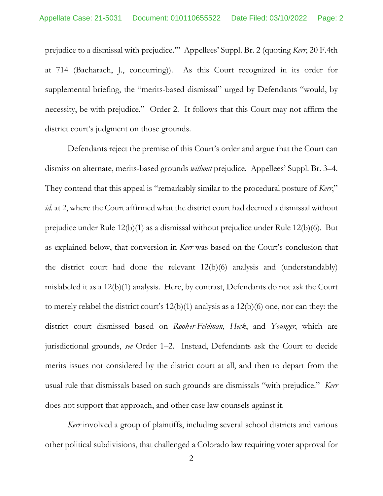at 714 (Bacharach, J., concurring)). As this Court recognized in its order for necessity, be with prejudice." Order 2. It follows that this Court may not affirm the prejudice to a dismissal with prejudice.'" Appellees' Suppl. Br. 2 (quoting *Kerr*, 20 F.4th supplemental briefing, the "merits-based dismissal" urged by Defendants "would, by district court's judgment on those grounds.

 Defendants reject the premise of this Court's order and argue that the Court can dismiss on alternate, merits-based grounds *without* prejudice. Appellees' Suppl. Br. 3–4. dismiss on alternate, merits-based grounds *without* prejudice. Appellees' Suppl. Br. 3–4. They contend that this appeal is "remarkably similar to the procedural posture of *Kerr*," *id.* at 2, where the Court affirmed what the district court had deemed a dismissal without prejudice under Rule 12(b)(1) as a dismissal without prejudice under Rule 12(b)(6). But as explained below, that conversion in *Kerr* was based on the Court's conclusion that mislabeled it as a 12(b)(1) analysis. Here, by contrast, Defendants do not ask the Court to merely relabel the district court's 12(b)(1) analysis as a 12(b)(6) one, nor can they: the jurisdictional grounds, *see* Order 1–2. Instead, Defendants ask the Court to decide merits issues not considered by the district court at all, and then to depart from the usual rule that dismissals based on such grounds are dismissals "with prejudice." *Kerr*  does not support that approach, and other case law counsels against it. the district court had done the relevant 12(b)(6) analysis and (understandably) district court dismissed based on *Rooker-Feldman*, *Heck*, and *Younger*, which are

 other political subdivisions, that challenged a Colorado law requiring voter approval for *Kerr* involved a group of plaintiffs, including several school districts and various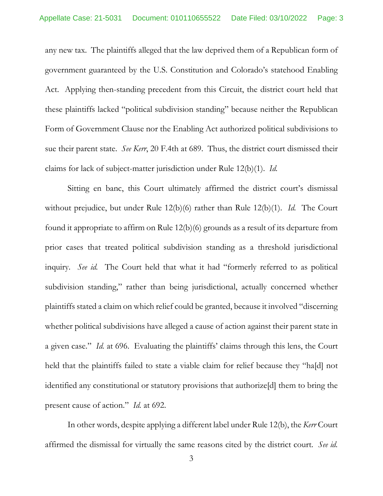Act. Applying then-standing precedent from this Circuit, the district court held that sue their parent state. *See Kerr*, 20 F.4th at 689. Thus, the district court dismissed their claims for lack of subject-matter jurisdiction under Rule 12(b)(1). *Id.*  any new tax. The plaintiffs alleged that the law deprived them of a Republican form of government guaranteed by the U.S. Constitution and Colorado's statehood Enabling these plaintiffs lacked "political subdivision standing" because neither the Republican Form of Government Clause nor the Enabling Act authorized political subdivisions to

 Sitting en banc, this Court ultimately affirmed the district court's dismissal without prejudice, but under Rule 12(b)(6) rather than Rule 12(b)(1). *Id.* The Court found it appropriate to affirm on Rule 12(b)(6) grounds as a result of its departure from prior cases that treated political subdivision standing as a threshold jurisdictional inquiry. *See id.* The Court held that what it had "formerly referred to as political subdivision standing," rather than being jurisdictional, actually concerned whether plaintiffs stated a claim on which relief could be granted, because it involved "discerning a given case." *Id.* at 696. Evaluating the plaintiffs' claims through this lens, the Court held that the plaintiffs failed to state a viable claim for relief because they "ha[d] not identified any constitutional or statutory provisions that authorize[d] them to bring the present cause of action." *Id.* at 692. whether political subdivisions have alleged a cause of action against their parent state in

 affirmed the dismissal for virtually the same reasons cited by the district court. *See id.*  In other words, despite applying a different label under Rule 12(b), the *Kerr* Court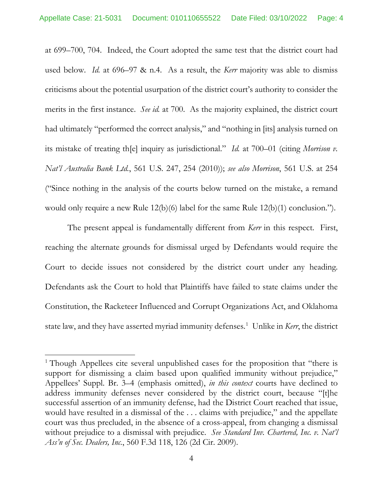at 699–700, 704. Indeed, the Court adopted the same test that the district court had used below. *Id.* at 696–97 & n.4. As a result, the *Kerr* majority was able to dismiss merits in the first instance. *See id.* at 700. As the majority explained, the district court its mistake of treating th[e] inquiry as jurisdictional." *Id.* at 700–01 (citing *Morrison v. Nat'l Australia Bank Ltd.*, 561 U.S. 247, 254 (2010)); *see also Morrison*, 561 U.S. at 254 criticisms about the potential usurpation of the district court's authority to consider the had ultimately "performed the correct analysis," and "nothing in [its] analysis turned on ("Since nothing in the analysis of the courts below turned on the mistake, a remand would only require a new Rule 12(b)(6) label for the same Rule 12(b)(1) conclusion.").

 The present appeal is fundamentally different from *Kerr* in this respect. First, Court to decide issues not considered by the district court under any heading. Defendants ask the Court to hold that Plaintiffs have failed to state claims under the state law, and they have asserted myriad immunity defenses. 1 Unlike in *Kerr*, the district reaching the alternate grounds for dismissal urged by Defendants would require the Constitution, the Racketeer Influenced and Corrupt Organizations Act, and Oklahoma

 would have resulted in a dismissal of the . . . claims with prejudice," and the appellate without prejudice to a dismissal with prejudice. *See Standard Inv. Chartered, Inc. v. Nat'l*  <sup>1</sup> Though Appellees cite several unpublished cases for the proposition that "there is support for dismissing a claim based upon qualified immunity without prejudice," Appellees' Suppl. Br. 3–4 (emphasis omitted), *in this context* courts have declined to address immunity defenses never considered by the district court, because "[t]he successful assertion of an immunity defense, had the District Court reached that issue, court was thus precluded, in the absence of a cross-appeal, from changing a dismissal *Ass'n of Sec. Dealers, Inc.*, 560 F.3d 118, 126 (2d Cir. 2009).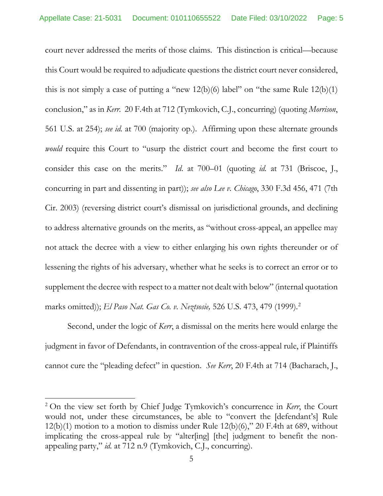court never addressed the merits of those claims. This distinction is critical—because this Court would be required to adjudicate questions the district court never considered, conclusion," as in *Kerr.* 20 F.4th at 712 (Tymkovich, C.J., concurring) (quoting *Morrison*, 561 U.S. at 254); *see id.* at 700 (majority op.). Affirming upon these alternate grounds consider this case on the merits." *Id*. at 700–01 (quoting *id.* at 731 (Briscoe, J., to address alternative grounds on the merits, as "without cross-appeal, an appellee may not attack the decree with a view to either enlarging his own rights thereunder or of lessening the rights of his adversary, whether what he seeks is to correct an error or to supplement the decree with respect to a matter not dealt with below" (internal quotation this is not simply a case of putting a "new  $12(b)(6)$  label" on "the same Rule  $12(b)(1)$ *would* require this Court to "usurp the district court and become the first court to concurring in part and dissenting in part)); *see also Lee v. Chicago*, 330 F.3d 456, 471 (7th Cir. 2003) (reversing district court's dismissal on jurisdictional grounds, and declining marks omitted)); *El Paso Nat. Gas Co. v. Neztsosie,* 526 U.S. 473, 479 (1999). 2

 cannot cure the "pleading defect" in question. *See Kerr*, 20 F.4th at 714 (Bacharach, J., Second, under the logic of *Kerr*, a dismissal on the merits here would enlarge the judgment in favor of Defendants, in contravention of the cross-appeal rule, if Plaintiffs

 2 On the view set forth by Chief Judge Tymkovich's concurrence in *Kerr*, the Court  $12(b)(1)$  motion to a motion to dismiss under Rule  $12(b)(6)$ ,"  $20$  F.4th at 689, without implicating the cross-appeal rule by "alter[ing] [the] judgment to benefit the nonwould not, under these circumstances, be able to "convert the [defendant's] Rule appealing party," *id.* at 712 n.9 (Tymkovich, C.J., concurring).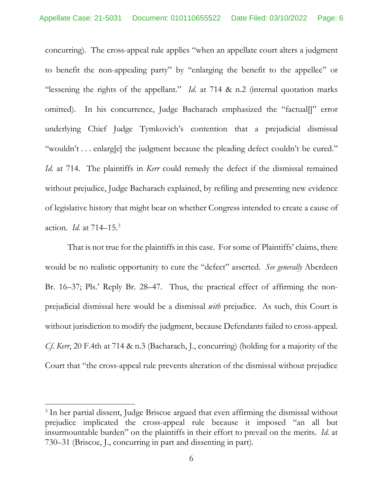concurring). The cross-appeal rule applies "when an appellate court alters a judgment to benefit the non-appealing party" by "enlarging the benefit to the appellee" or "lessening the rights of the appellant." *Id.* at 714 & n.2 (internal quotation marks omitted). In his concurrence, Judge Bacharach emphasized the "factual[]" error underlying Chief Judge Tymkovich's contention that a prejudicial dismissal "wouldn't . . . enlarg[e] the judgment because the pleading defect couldn't be cured." *Id.* at 714. The plaintiffs in *Kerr* could remedy the defect if the dismissal remained without prejudice, Judge Bacharach explained, by refiling and presenting new evidence of legislative history that might bear on whether Congress intended to create a cause of action. *Id.* at 714–15. 3

 That is not true for the plaintiffs in this case. For some of Plaintiffs' claims, there would be no realistic opportunity to cure the "defect" asserted. *See generally* Aberdeen Br. 16–37; Pls.' Reply Br. 28–47. Thus, the practical effect of affirming the non- prejudicial dismissal here would be a dismissal *with* prejudice. As such, this Court is without jurisdiction to modify the judgment, because Defendants failed to cross-appeal.  *Cf. Kerr*, 20 F.4th at 714 & n.3 (Bacharach, J., concurring) (holding for a majority of the Court that "the cross-appeal rule prevents alteration of the dismissal without prejudice

 insurmountable burden" on the plaintiffs in their effort to prevail on the merits. *Id.* at 730–31 (Briscoe, J., concurring in part and dissenting in part). <sup>3</sup> In her partial dissent, Judge Briscoe argued that even affirming the dismissal without prejudice implicated the cross-appeal rule because it imposed "an all but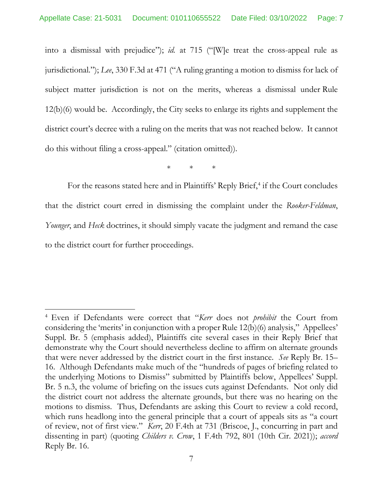into a dismissal with prejudice"); *id.* at 715 ("[W]e treat the cross-appeal rule as subject matter jurisdiction is not on the merits, whereas a dismissal under Rule 12(b)(6) would be. Accordingly, the City seeks to enlarge its rights and supplement the district court's decree with a ruling on the merits that was not reached below. It cannot do this without filing a cross-appeal." (citation omitted)).<br>\* \* \* \* jurisdictional."); *Lee*, 330 F.3d at 471 ("A ruling granting a motion to dismiss for lack of

 that the district court erred in dismissing the complaint under the *Rooker-Feldman*, For the reasons stated here and in Plaintiffs' Reply Brief, 4 if the Court concludes *Younger*, and *Heck* doctrines, it should simply vacate the judgment and remand the case to the district court for further proceedings.

 4 Even if Defendants were correct that "*Kerr* does not *prohibit* the Court from considering the 'merits' in conjunction with a proper Rule 12(b)(6) analysis," Appellees' demonstrate why the Court should nevertheless decline to affirm on alternate grounds that were never addressed by the district court in the first instance. *See* Reply Br. 15– 16. Although Defendants make much of the "hundreds of pages of briefing related to motions to dismiss. Thus, Defendants are asking this Court to review a cold record, of review, not of first view." *Kerr*, 20 F.4th at 731 (Briscoe, J., concurring in part and dissenting in part) (quoting *Childers v. Crow*, 1 F.4th 792, 801 (10th Cir. 2021)); *accord*  Suppl. Br. 5 (emphasis added), Plaintiffs cite several cases in their Reply Brief that the underlying Motions to Dismiss" submitted by Plaintiffs below, Appellees' Suppl. Br. 5 n.3, the volume of briefing on the issues cuts against Defendants. Not only did the district court not address the alternate grounds, but there was no hearing on the which runs headlong into the general principle that a court of appeals sits as "a court Reply Br. 16.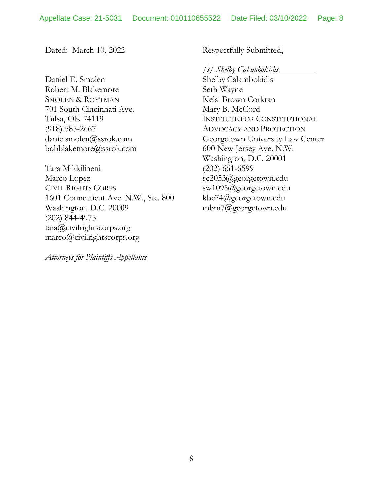Dated: March 10, 2022

Daniel E. Smolen Robert M. Blakemore **SMOLEN & ROYTMAN** 701 South Cincinnati Ave. Tulsa, OK 74119  $(918)$  585-2667 danielsmolen@ssrok.com bobblakemore@ssrok.com Daniel E. Smolen<br>Robert M. Blakemore<br>SMOLEN & ROYTMAN<br>701 South Cincinnati Ave.<br>Tulsa, OK 74119<br>(918) 585-2667<br>danielsmolen@ssrok.com<br>bobblakemore@ssrok.com<br>Tara Mikkilineni<br>Marco Lopez<br>CIVIL RIGHTS CORPS

Tara Mikkilineni Marco Lopez **CIVIL RIGHTS CORPS**  1601 Connecticut Ave. N.W., Ste. 800 Washington, D.C. 20009 (202) 844-4975 Washington, D.C. 20009 tara@civilrightscorps.org marco@civilrightscorps.org

 *Attorneys for Plaintiffs-Appellants* 

Respectfully Submitted,

*/s/ Shelby Calambokidis* 

Shelby Calambokidis Seth Wayne Kelsi Brown Corkran Mary B. McCord INSTITUTE FOR CONSTITUTIONAL ADVOCACY AND PROTECTION Georgetown University Law Center 600 New Jersey Ave. N.W. Washington, D.C. 20001 (202) 661-6599 sc2053@georgetown.edu sw1098@georgetown.edu kbc74@georgetown.edu mbm7@georgetown.edu